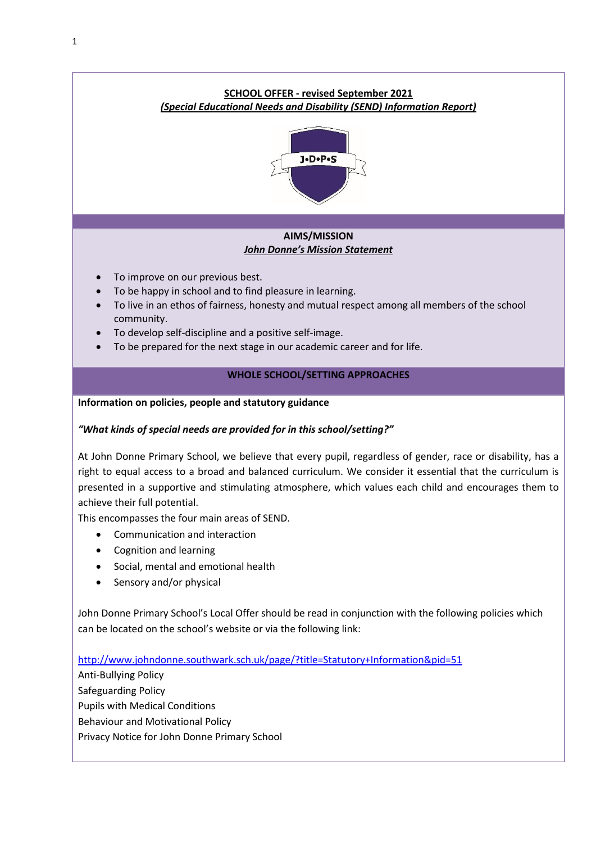

<http://www.johndonne.southwark.sch.uk/page/?title=Statutory+Information&pid=51>

Anti-Bullying Policy Safeguarding Policy Pupils with Medical Conditions Behaviour and Motivational Policy

Privacy Notice for John Donne Primary School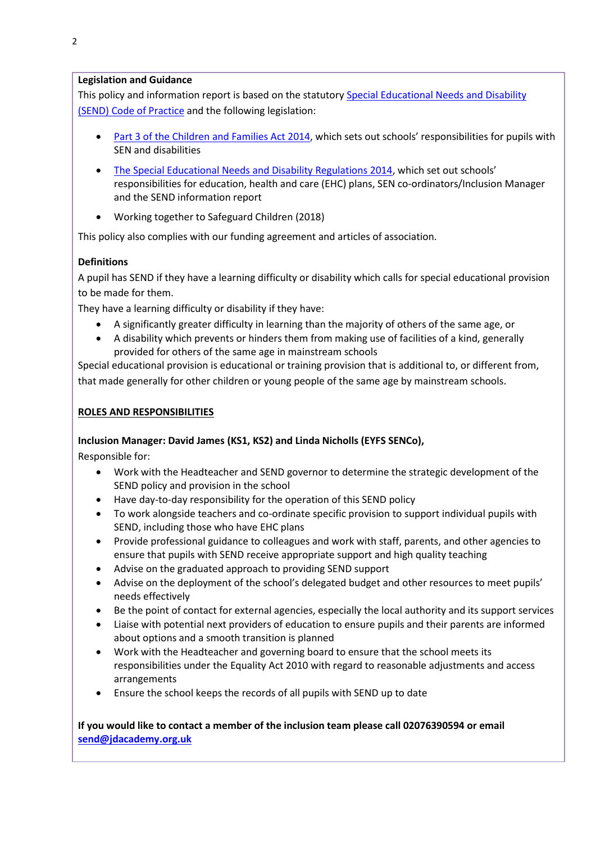#### **Legislation and Guidance**

This policy and information report is based on the statutory [Special Educational Needs and Disability](https://www.gov.uk/government/uploads/system/uploads/attachment_data/file/398815/SEND_Code_of_Practice_January_2015.pdf)  [\(SEND\) Code of Practice](https://www.gov.uk/government/uploads/system/uploads/attachment_data/file/398815/SEND_Code_of_Practice_January_2015.pdf) and the following legislation:

- [Part 3 of the Children and Families Act 2014](http://www.legislation.gov.uk/ukpga/2014/6/part/3), which sets out schools' responsibilities for pupils with SEN and disabilities
- [The Special Educational Needs and Disability Regulations 2014,](http://www.legislation.gov.uk/uksi/2014/1530/contents/made) which set out schools' responsibilities for education, health and care (EHC) plans, SEN co-ordinators/Inclusion Manager and the SEND information report
- Working together to Safeguard Children (2018)

This policy also complies with our funding agreement and articles of association.

# **Definitions**

A pupil has SEND if they have a learning difficulty or disability which calls for special educational provision to be made for them.

They have a learning difficulty or disability if they have:

- A significantly greater difficulty in learning than the majority of others of the same age, or
- A disability which prevents or hinders them from making use of facilities of a kind, generally provided for others of the same age in mainstream schools

Special educational provision is educational or training provision that is additional to, or different from, that made generally for other children or young people of the same age by mainstream schools.

#### **ROLES AND RESPONSIBILITIES**

# **Inclusion Manager: David James (KS1, KS2) and Linda Nicholls (EYFS SENCo),**

Responsible for:

- Work with the Headteacher and SEND governor to determine the strategic development of the SEND policy and provision in the school
- Have day-to-day responsibility for the operation of this SEND policy
- To work alongside teachers and co-ordinate specific provision to support individual pupils with SEND, including those who have EHC plans
- Provide professional guidance to colleagues and work with staff, parents, and other agencies to ensure that pupils with SEND receive appropriate support and high quality teaching
- Advise on the graduated approach to providing SEND support
- Advise on the deployment of the school's delegated budget and other resources to meet pupils' needs effectively
- Be the point of contact for external agencies, especially the local authority and its support services
- Liaise with potential next providers of education to ensure pupils and their parents are informed about options and a smooth transition is planned
- Work with the Headteacher and governing board to ensure that the school meets its responsibilities under the Equality Act 2010 with regard to reasonable adjustments and access arrangements
- Ensure the school keeps the records of all pupils with SEND up to date

#### **If you would like to contact a member of the inclusion team please call 02076390594 or email [send@jdacademy.org.uk](mailto:send@jdacademy.org.uk)**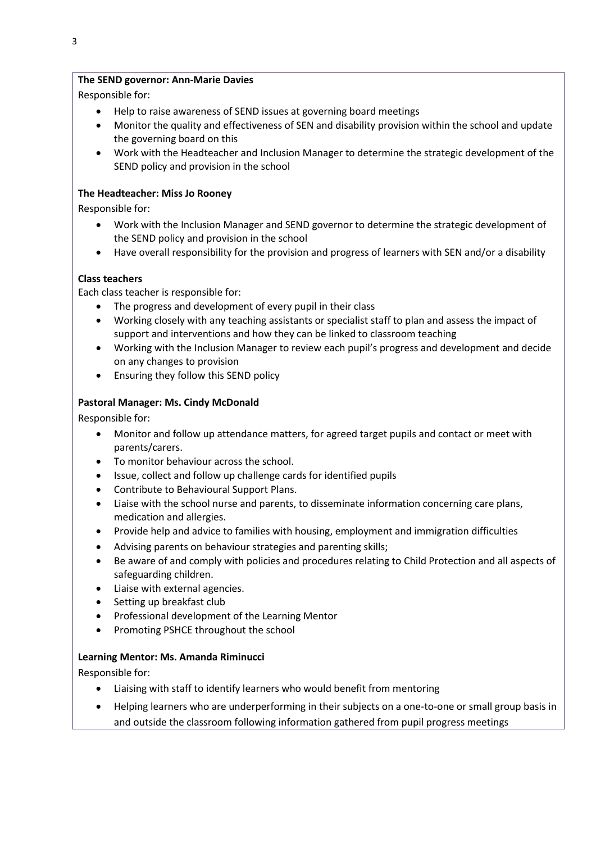### **The SEND governor: Ann-Marie Davies**

Responsible for:

- Help to raise awareness of SEND issues at governing board meetings
- Monitor the quality and effectiveness of SEN and disability provision within the school and update the governing board on this
- Work with the Headteacher and Inclusion Manager to determine the strategic development of the SEND policy and provision in the school

#### **The Headteacher: Miss Jo Rooney**

Responsible for:

- Work with the Inclusion Manager and SEND governor to determine the strategic development of the SEND policy and provision in the school
- Have overall responsibility for the provision and progress of learners with SEN and/or a disability

#### **Class teachers**

Each class teacher is responsible for:

- The progress and development of every pupil in their class
- Working closely with any teaching assistants or specialist staff to plan and assess the impact of support and interventions and how they can be linked to classroom teaching
- Working with the Inclusion Manager to review each pupil's progress and development and decide on any changes to provision
- Ensuring they follow this SEND policy

#### **Pastoral Manager: Ms. Cindy McDonald**

Responsible for:

- Monitor and follow up attendance matters, for agreed target pupils and contact or meet with parents/carers.
- To monitor behaviour across the school.
- Issue, collect and follow up challenge cards for identified pupils
- Contribute to Behavioural Support Plans.
- Liaise with the school nurse and parents, to disseminate information concerning care plans, medication and allergies.
- Provide help and advice to families with housing, employment and immigration difficulties
- Advising parents on behaviour strategies and parenting skills;
- Be aware of and comply with policies and procedures relating to Child Protection and all aspects of safeguarding children.
- Liaise with external agencies.
- Setting up breakfast club
- Professional development of the Learning Mentor
- Promoting PSHCE throughout the school

#### **Learning Mentor: Ms. Amanda Riminucci**

Responsible for:

- Liaising with staff to identify learners who would benefit from mentoring
- Helping learners who are underperforming in their subjects on a one-to-one or small group basis in and outside the classroom following information gathered from pupil progress meetings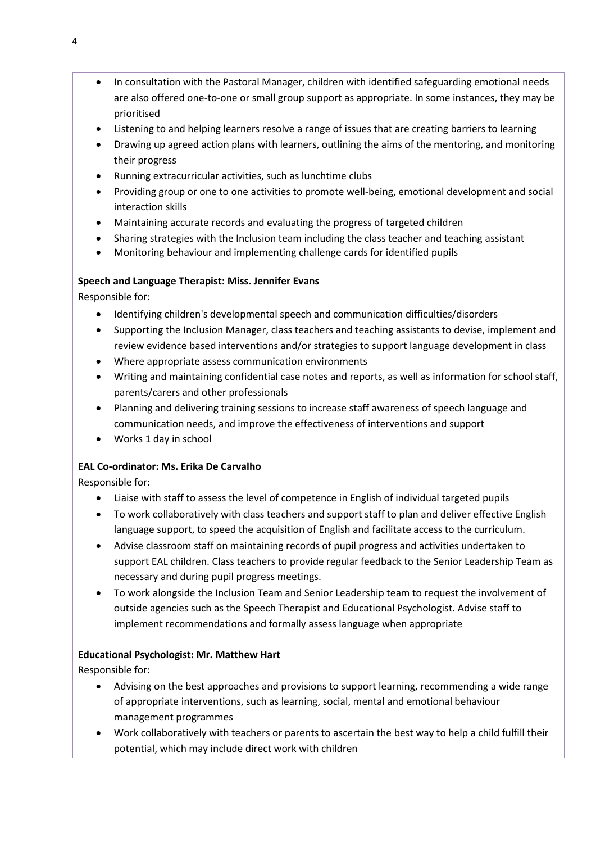- In consultation with the Pastoral Manager, children with identified safeguarding emotional needs are also offered one-to-one or small group support as appropriate. In some instances, they may be prioritised
- Listening to and helping learners resolve a range of issues that are creating barriers to learning
- Drawing up agreed action plans with learners, outlining the aims of the mentoring, and monitoring their progress
- Running extracurricular activities, such as lunchtime clubs
- Providing group or one to one activities to promote well-being, emotional development and social interaction skills
- Maintaining accurate records and evaluating the progress of targeted children
- Sharing strategies with the Inclusion team including the class teacher and teaching assistant
- Monitoring behaviour and implementing challenge cards for identified pupils

# **Speech and Language Therapist: Miss. Jennifer Evans**

Responsible for:

- Identifying children's developmental speech and communication difficulties/disorders
- Supporting the Inclusion Manager, class teachers and teaching assistants to devise, implement and review evidence based interventions and/or strategies to support language development in class
- Where appropriate assess communication environments
- Writing and maintaining confidential case notes and reports, as well as information for school staff, parents/carers and other professionals
- Planning and delivering training sessions to increase staff awareness of speech language and communication needs, and improve the effectiveness of interventions and support
- Works 1 day in school

# **EAL Co-ordinator: Ms. Erika De Carvalho**

Responsible for:

- Liaise with staff to assess the level of competence in English of individual targeted pupils
- To work collaboratively with class teachers and support staff to plan and deliver effective English language support, to speed the acquisition of English and facilitate access to the curriculum.
- Advise classroom staff on maintaining records of pupil progress and activities undertaken to support EAL children. Class teachers to provide regular feedback to the Senior Leadership Team as necessary and during pupil progress meetings.
- To work alongside the Inclusion Team and Senior Leadership team to request the involvement of outside agencies such as the Speech Therapist and Educational Psychologist. Advise staff to implement recommendations and formally assess language when appropriate

# **Educational Psychologist: Mr. Matthew Hart**

Responsible for:

- Advising on the best approaches and provisions to support learning, recommending a wide range of appropriate interventions, such as learning, social, mental and emotional behaviour management programmes
- Work collaboratively with teachers or parents to ascertain the best way to help a child fulfill their potential, which may include direct work with children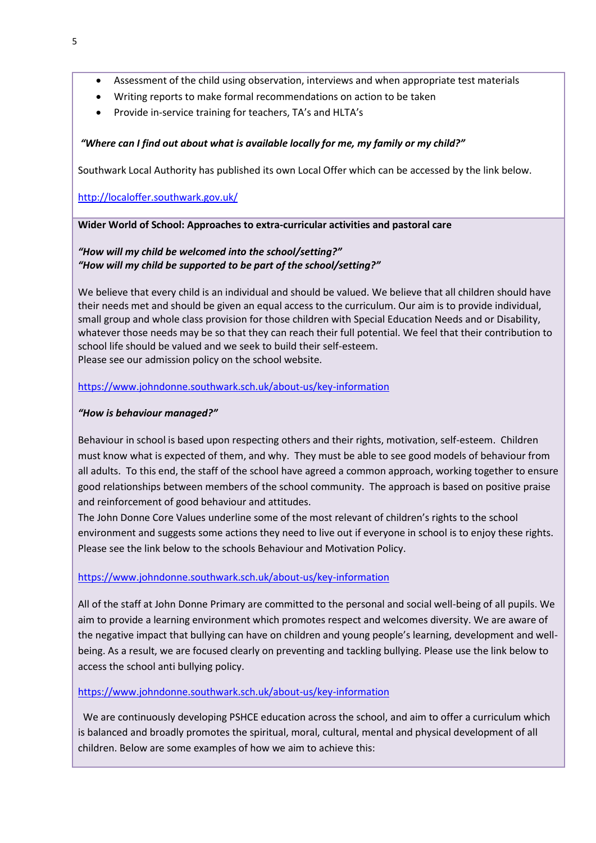- Assessment of the child using observation, interviews and when appropriate test materials
- Writing reports to make formal recommendations on action to be taken
- Provide in-service training for teachers, TA's and HLTA's

### *"Where can I find out about what is available locally for me, my family or my child?"*

Southwark Local Authority has published its own Local Offer which can be accessed by the link below.

<http://localoffer.southwark.gov.uk/>

#### **Wider World of School: Approaches to extra-curricular activities and pastoral care**

### *"How will my child be welcomed into the school/setting?" "How will my child be supported to be part of the school/setting?"*

We believe that every child is an individual and should be valued. We believe that all children should have their needs met and should be given an equal access to the curriculum. Our aim is to provide individual, small group and whole class provision for those children with Special Education Needs and or Disability, whatever those needs may be so that they can reach their full potential. We feel that their contribution to school life should be valued and we seek to build their self-esteem. Please see our admission policy on the school website.

#### <https://www.johndonne.southwark.sch.uk/about-us/key-information>

#### *"How is behaviour managed?"*

Behaviour in school is based upon respecting others and their rights, motivation, self-esteem. Children must know what is expected of them, and why. They must be able to see good models of behaviour from all adults. To this end, the staff of the school have agreed a common approach, working together to ensure good relationships between members of the school community. The approach is based on positive praise and reinforcement of good behaviour and attitudes.

The John Donne Core Values underline some of the most relevant of children's rights to the school environment and suggests some actions they need to live out if everyone in school is to enjoy these rights. Please see the link below to the schools Behaviour and Motivation Policy.

# <https://www.johndonne.southwark.sch.uk/about-us/key-information>

All of the staff at John Donne Primary are committed to the personal and social well-being of all pupils. We aim to provide a learning environment which promotes respect and welcomes diversity. We are aware of the negative impact that bullying can have on children and young people's learning, development and wellbeing. As a result, we are focused clearly on preventing and tackling bullying. Please use the link below to access the school anti bullying policy.

# <https://www.johndonne.southwark.sch.uk/about-us/key-information>

We are continuously developing PSHCE education across the school, and aim to offer a curriculum which is balanced and broadly promotes the spiritual, moral, cultural, mental and physical development of all children. Below are some examples of how we aim to achieve this: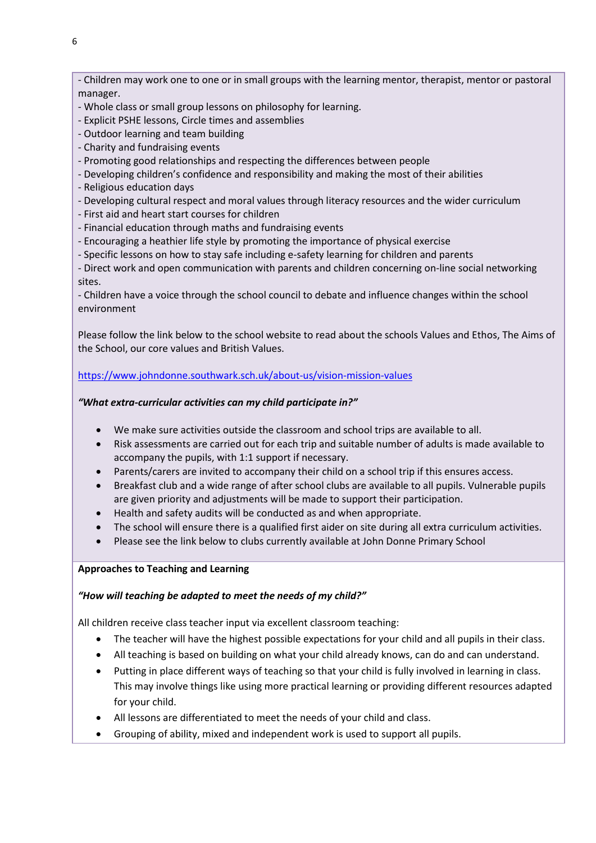- Children may work one to one or in small groups with the learning mentor, therapist, mentor or pastoral manager.

- Whole class or small group lessons on philosophy for learning.
- Explicit PSHE lessons, Circle times and assemblies
- Outdoor learning and team building
- Charity and fundraising events
- Promoting good relationships and respecting the differences between people
- Developing children's confidence and responsibility and making the most of their abilities
- Religious education days
- Developing cultural respect and moral values through literacy resources and the wider curriculum
- First aid and heart start courses for children
- Financial education through maths and fundraising events
- Encouraging a heathier life style by promoting the importance of physical exercise
- Specific lessons on how to stay safe including e-safety learning for children and parents

- Direct work and open communication with parents and children concerning on-line social networking sites.

- Children have a voice through the school council to debate and influence changes within the school environment

Please follow the link below to the school website to read about the schools Values and Ethos, The Aims of the School, our core values and British Values.

#### <https://www.johndonne.southwark.sch.uk/about-us/vision-mission-values>

#### *"What extra-curricular activities can my child participate in?"*

- We make sure activities outside the classroom and school trips are available to all.
- Risk assessments are carried out for each trip and suitable number of adults is made available to accompany the pupils, with 1:1 support if necessary.
- Parents/carers are invited to accompany their child on a school trip if this ensures access.
- Breakfast club and a wide range of after school clubs are available to all pupils. Vulnerable pupils are given priority and adjustments will be made to support their participation.
- Health and safety audits will be conducted as and when appropriate.
- The school will ensure there is a qualified first aider on site during all extra curriculum activities.
- Please see the link below to clubs currently available at John Donne Primary School

#### **Approaches to Teaching and Learning**

#### *"How will teaching be adapted to meet the needs of my child?"*

All children receive class teacher input via excellent classroom teaching:

- The teacher will have the highest possible expectations for your child and all pupils in their class.
- All teaching is based on building on what your child already knows, can do and can understand.
- Putting in place different ways of teaching so that your child is fully involved in learning in class. This may involve things like using more practical learning or providing different resources adapted for your child.
- All lessons are differentiated to meet the needs of your child and class.
- Grouping of ability, mixed and independent work is used to support all pupils.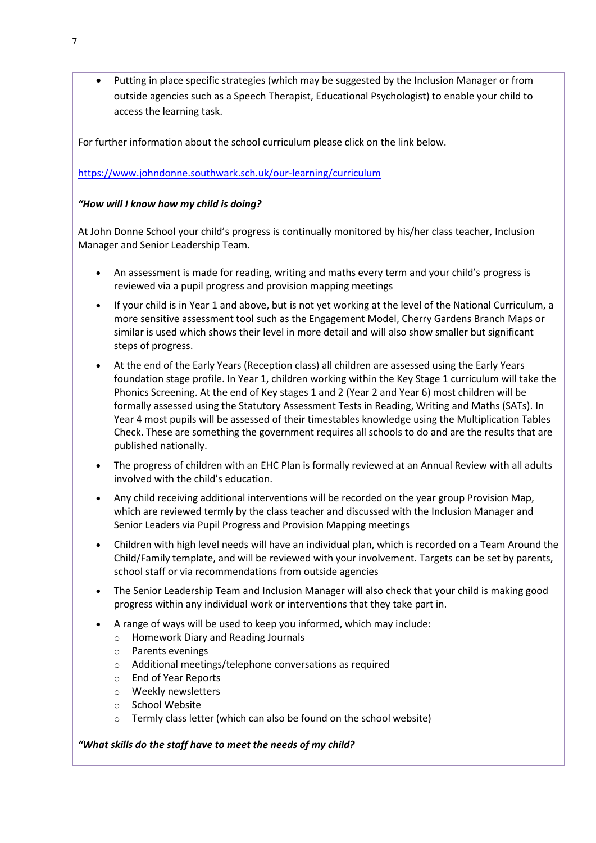Putting in place specific strategies (which may be suggested by the Inclusion Manager or from outside agencies such as a Speech Therapist, Educational Psychologist) to enable your child to access the learning task.

For further information about the school curriculum please click on the link below.

<https://www.johndonne.southwark.sch.uk/our-learning/curriculum>

#### *"How will I know how my child is doing?*

At John Donne School your child's progress is continually monitored by his/her class teacher, Inclusion Manager and Senior Leadership Team.

- An assessment is made for reading, writing and maths every term and your child's progress is reviewed via a pupil progress and provision mapping meetings
- If your child is in Year 1 and above, but is not yet working at the level of the National Curriculum, a more sensitive assessment tool such as the Engagement Model, Cherry Gardens Branch Maps or similar is used which shows their level in more detail and will also show smaller but significant steps of progress.
- At the end of the Early Years (Reception class) all children are assessed using the Early Years foundation stage profile. In Year 1, children working within the Key Stage 1 curriculum will take the Phonics Screening. At the end of Key stages 1 and 2 (Year 2 and Year 6) most children will be formally assessed using the Statutory Assessment Tests in Reading, Writing and Maths (SATs). In Year 4 most pupils will be assessed of their timestables knowledge using the Multiplication Tables Check. These are something the government requires all schools to do and are the results that are published nationally.
- The progress of children with an EHC Plan is formally reviewed at an Annual Review with all adults involved with the child's education.
- Any child receiving additional interventions will be recorded on the year group Provision Map, which are reviewed termly by the class teacher and discussed with the Inclusion Manager and Senior Leaders via Pupil Progress and Provision Mapping meetings
- Children with high level needs will have an individual plan, which is recorded on a Team Around the Child/Family template, and will be reviewed with your involvement. Targets can be set by parents, school staff or via recommendations from outside agencies
- The Senior Leadership Team and Inclusion Manager will also check that your child is making good progress within any individual work or interventions that they take part in.
- A range of ways will be used to keep you informed, which may include:
	- o Homework Diary and Reading Journals
	- o Parents evenings
	- o Additional meetings/telephone conversations as required
	- o End of Year Reports
	- o Weekly newsletters
	- o School Website
	- Termly class letter (which can also be found on the school website)

#### *"What skills do the staff have to meet the needs of my child?*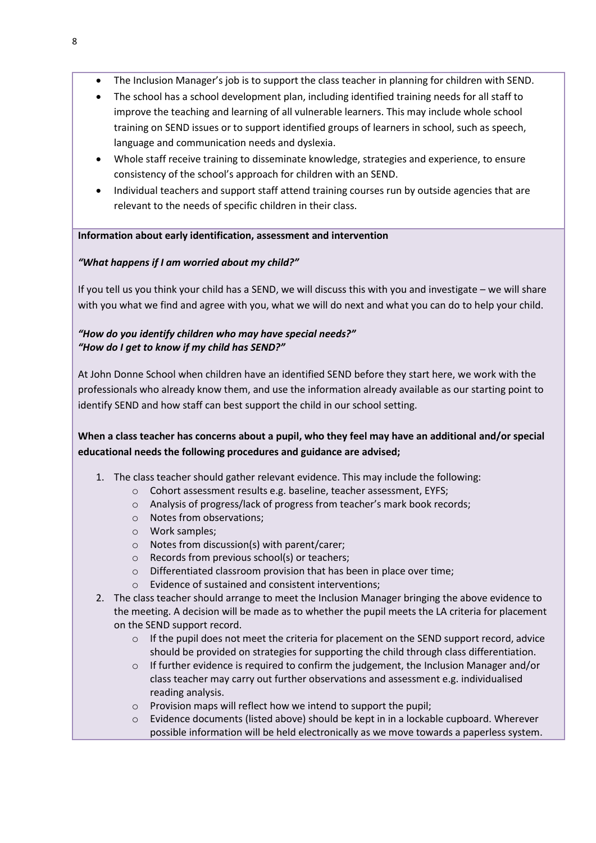- The Inclusion Manager's job is to support the class teacher in planning for children with SEND.
- The school has a school development plan, including identified training needs for all staff to improve the teaching and learning of all vulnerable learners. This may include whole school training on SEND issues or to support identified groups of learners in school, such as speech, language and communication needs and dyslexia.
- Whole staff receive training to disseminate knowledge, strategies and experience, to ensure consistency of the school's approach for children with an SEND.
- Individual teachers and support staff attend training courses run by outside agencies that are relevant to the needs of specific children in their class.

#### **Information about early identification, assessment and intervention**

#### *"What happens if I am worried about my child?"*

If you tell us you think your child has a SEND, we will discuss this with you and investigate – we will share with you what we find and agree with you, what we will do next and what you can do to help your child.

# *"How do you identify children who may have special needs?" "How do I get to know if my child has SEND?"*

At John Donne School when children have an identified SEND before they start here, we work with the professionals who already know them, and use the information already available as our starting point to identify SEND and how staff can best support the child in our school setting.

# **When a class teacher has concerns about a pupil, who they feel may have an additional and/or special educational needs the following procedures and guidance are advised;**

- 1. The class teacher should gather relevant evidence. This may include the following:
	- o Cohort assessment results e.g. baseline, teacher assessment, EYFS;
	- o Analysis of progress/lack of progress from teacher's mark book records;
	- o Notes from observations;
	- o Work samples;
	- o Notes from discussion(s) with parent/carer;
	- o Records from previous school(s) or teachers;
	- o Differentiated classroom provision that has been in place over time;
	- o Evidence of sustained and consistent interventions;
- 2. The class teacher should arrange to meet the Inclusion Manager bringing the above evidence to the meeting. A decision will be made as to whether the pupil meets the LA criteria for placement on the SEND support record.
	- $\circ$  If the pupil does not meet the criteria for placement on the SEND support record, advice should be provided on strategies for supporting the child through class differentiation.
	- $\circ$  If further evidence is required to confirm the judgement, the Inclusion Manager and/or class teacher may carry out further observations and assessment e.g. individualised reading analysis.
	- o Provision maps will reflect how we intend to support the pupil;
	- $\circ$  Evidence documents (listed above) should be kept in in a lockable cupboard. Wherever possible information will be held electronically as we move towards a paperless system.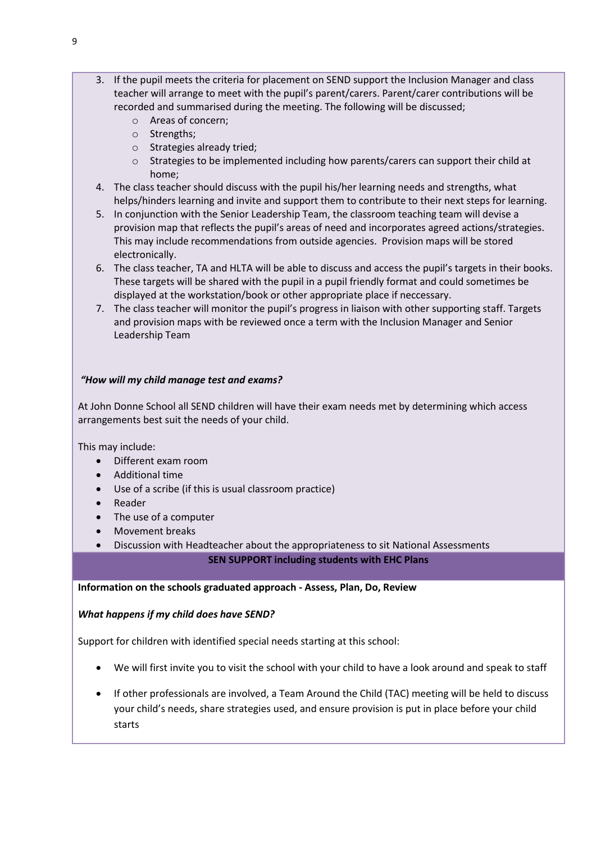- 3. If the pupil meets the criteria for placement on SEND support the Inclusion Manager and class teacher will arrange to meet with the pupil's parent/carers. Parent/carer contributions will be recorded and summarised during the meeting. The following will be discussed;
	- o Areas of concern;
	- o Strengths;
	- o Strategies already tried;
	- o Strategies to be implemented including how parents/carers can support their child at home;
- 4. The class teacher should discuss with the pupil his/her learning needs and strengths, what helps/hinders learning and invite and support them to contribute to their next steps for learning.
- 5. In conjunction with the Senior Leadership Team, the classroom teaching team will devise a provision map that reflects the pupil's areas of need and incorporates agreed actions/strategies. This may include recommendations from outside agencies. Provision maps will be stored electronically.
- 6. The class teacher, TA and HLTA will be able to discuss and access the pupil's targets in their books. These targets will be shared with the pupil in a pupil friendly format and could sometimes be displayed at the workstation/book or other appropriate place if neccessary.
- 7. The class teacher will monitor the pupil's progress in liaison with other supporting staff. Targets and provision maps with be reviewed once a term with the Inclusion Manager and Senior Leadership Team

# *"How will my child manage test and exams?*

At John Donne School all SEND children will have their exam needs met by determining which access arrangements best suit the needs of your child.

This may include:

- Different exam room
- Additional time
- Use of a scribe (if this is usual classroom practice)
- Reader
- The use of a computer
- Movement breaks
- Discussion with Headteacher about the appropriateness to sit National Assessments

**SEN SUPPORT including students with EHC Plans**

**Information on the schools graduated approach - Assess, Plan, Do, Review** 

# *What happens if my child does have SEND?*

Support for children with identified special needs starting at this school:

- We will first invite you to visit the school with your child to have a look around and speak to staff
- If other professionals are involved, a Team Around the Child (TAC) meeting will be held to discuss your child's needs, share strategies used, and ensure provision is put in place before your child starts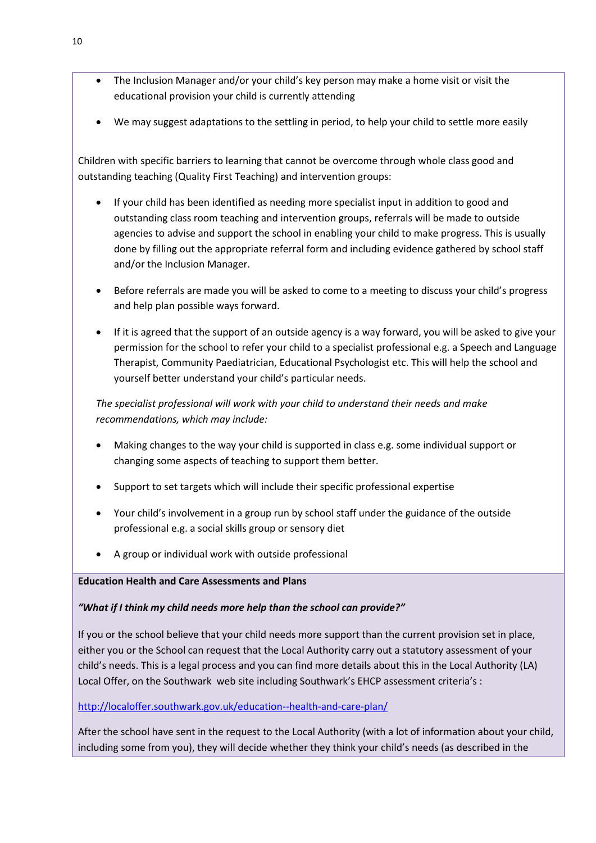- The Inclusion Manager and/or your child's key person may make a home visit or visit the educational provision your child is currently attending
- We may suggest adaptations to the settling in period, to help your child to settle more easily

Children with specific barriers to learning that cannot be overcome through whole class good and outstanding teaching (Quality First Teaching) and intervention groups:

- If your child has been identified as needing more specialist input in addition to good and outstanding class room teaching and intervention groups, referrals will be made to outside agencies to advise and support the school in enabling your child to make progress. This is usually done by filling out the appropriate referral form and including evidence gathered by school staff and/or the Inclusion Manager.
- Before referrals are made you will be asked to come to a meeting to discuss your child's progress and help plan possible ways forward.
- If it is agreed that the support of an outside agency is a way forward, you will be asked to give your permission for the school to refer your child to a specialist professional e.g. a Speech and Language Therapist, Community Paediatrician, Educational Psychologist etc. This will help the school and yourself better understand your child's particular needs.

*The specialist professional will work with your child to understand their needs and make recommendations, which may include:*

- Making changes to the way your child is supported in class e.g. some individual support or changing some aspects of teaching to support them better.
- Support to set targets which will include their specific professional expertise
- Your child's involvement in a group run by school staff under the guidance of the outside professional e.g. a social skills group or sensory diet
- A group or individual work with outside professional

#### **Education Health and Care Assessments and Plans**

# *"What if I think my child needs more help than the school can provide?"*

If you or the school believe that your child needs more support than the current provision set in place, either you or the School can request that the Local Authority carry out a statutory assessment of your child's needs. This is a legal process and you can find more details about this in the Local Authority (LA) Local Offer, on the Southwark web site including Southwark's EHCP assessment criteria's :

# <http://localoffer.southwark.gov.uk/education--health-and-care-plan/>

After the school have sent in the request to the Local Authority (with a lot of information about your child, including some from you), they will decide whether they think your child's needs (as described in the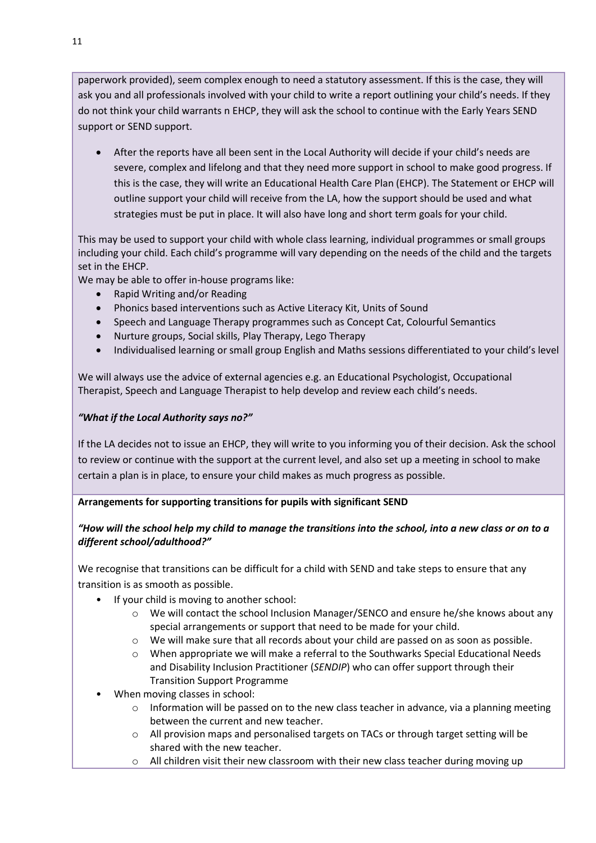paperwork provided), seem complex enough to need a statutory assessment. If this is the case, they will ask you and all professionals involved with your child to write a report outlining your child's needs. If they do not think your child warrants n EHCP, they will ask the school to continue with the Early Years SEND support or SEND support.

 After the reports have all been sent in the Local Authority will decide if your child's needs are severe, complex and lifelong and that they need more support in school to make good progress. If this is the case, they will write an Educational Health Care Plan (EHCP). The Statement or EHCP will outline support your child will receive from the LA, how the support should be used and what strategies must be put in place. It will also have long and short term goals for your child.

This may be used to support your child with whole class learning, individual programmes or small groups including your child. Each child's programme will vary depending on the needs of the child and the targets set in the EHCP.

We may be able to offer in-house programs like:

- Rapid Writing and/or Reading
- Phonics based interventions such as Active Literacy Kit, Units of Sound
- Speech and Language Therapy programmes such as Concept Cat, Colourful Semantics
- Nurture groups, Social skills, Play Therapy, Lego Therapy
- Individualised learning or small group English and Maths sessions differentiated to your child's level

We will always use the advice of external agencies e.g. an Educational Psychologist, Occupational Therapist, Speech and Language Therapist to help develop and review each child's needs.

# *"What if the Local Authority says no?"*

If the LA decides not to issue an EHCP, they will write to you informing you of their decision. Ask the school to review or continue with the support at the current level, and also set up a meeting in school to make certain a plan is in place, to ensure your child makes as much progress as possible.

# **Arrangements for supporting transitions for pupils with significant SEND**

# *"How will the school help my child to manage the transitions into the school, into a new class or on to a different school/adulthood?"*

We recognise that transitions can be difficult for a child with SEND and take steps to ensure that any transition is as smooth as possible.

- If your child is moving to another school:
	- o We will contact the school Inclusion Manager/SENCO and ensure he/she knows about any special arrangements or support that need to be made for your child.
	- o We will make sure that all records about your child are passed on as soon as possible.
	- o When appropriate we will make a referral to the Southwarks Special Educational Needs and Disability Inclusion Practitioner (*SENDIP*) who can offer support through their Transition Support Programme
- When moving classes in school:
	- $\circ$  Information will be passed on to the new class teacher in advance, via a planning meeting between the current and new teacher.
	- $\circ$  All provision maps and personalised targets on TACs or through target setting will be shared with the new teacher.
	- o All children visit their new classroom with their new class teacher during moving up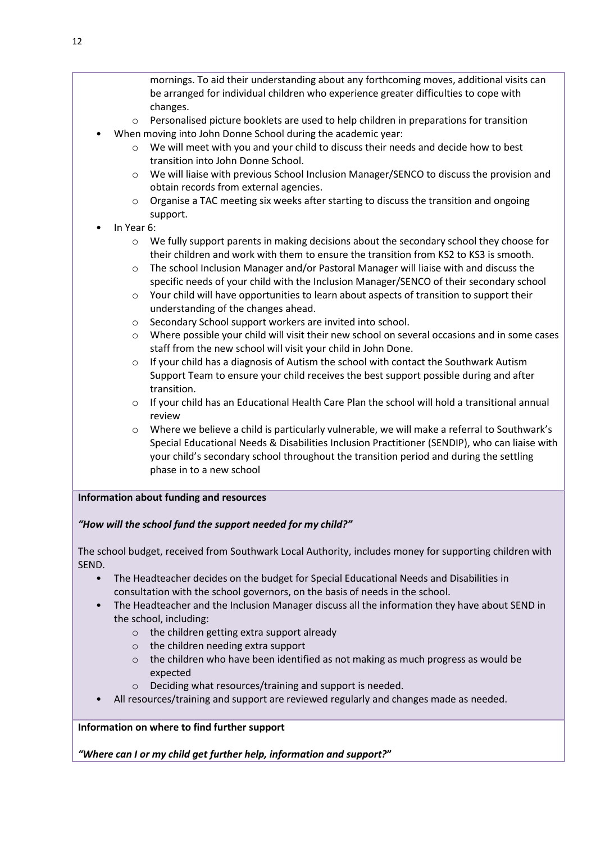mornings. To aid their understanding about any forthcoming moves, additional visits can be arranged for individual children who experience greater difficulties to cope with changes.

- $\circ$  Personalised picture booklets are used to help children in preparations for transition
- When moving into John Donne School during the academic year:
	- o We will meet with you and your child to discuss their needs and decide how to best transition into John Donne School.
	- o We will liaise with previous School Inclusion Manager/SENCO to discuss the provision and obtain records from external agencies.
	- $\circ$  Organise a TAC meeting six weeks after starting to discuss the transition and ongoing support.
- In Year 6:
	- $\circ$  We fully support parents in making decisions about the secondary school they choose for their children and work with them to ensure the transition from KS2 to KS3 is smooth.
	- o The school Inclusion Manager and/or Pastoral Manager will liaise with and discuss the specific needs of your child with the Inclusion Manager/SENCO of their secondary school
	- o Your child will have opportunities to learn about aspects of transition to support their understanding of the changes ahead.
	- o Secondary School support workers are invited into school.
	- o Where possible your child will visit their new school on several occasions and in some cases staff from the new school will visit your child in John Done.
	- $\circ$  If your child has a diagnosis of Autism the school with contact the Southwark Autism Support Team to ensure your child receives the best support possible during and after transition.
	- $\circ$  If your child has an Educational Health Care Plan the school will hold a transitional annual review
	- o Where we believe a child is particularly vulnerable, we will make a referral to Southwark's Special Educational Needs & Disabilities Inclusion Practitioner (SENDIP), who can liaise with your child's secondary school throughout the transition period and during the settling phase in to a new school

#### **Information about funding and resources**

# *"How will the school fund the support needed for my child?"*

The school budget, received from Southwark Local Authority, includes money for supporting children with SEND.

- The Headteacher decides on the budget for Special Educational Needs and Disabilities in consultation with the school governors, on the basis of needs in the school.
- The Headteacher and the Inclusion Manager discuss all the information they have about SEND in the school, including:
	- o the children getting extra support already
	- o the children needing extra support
	- $\circ$  the children who have been identified as not making as much progress as would be expected
	- o Deciding what resources/training and support is needed.
- All resources/training and support are reviewed regularly and changes made as needed.

**Information on where to find further support**

*"Where can I or my child get further help, information and support?***"**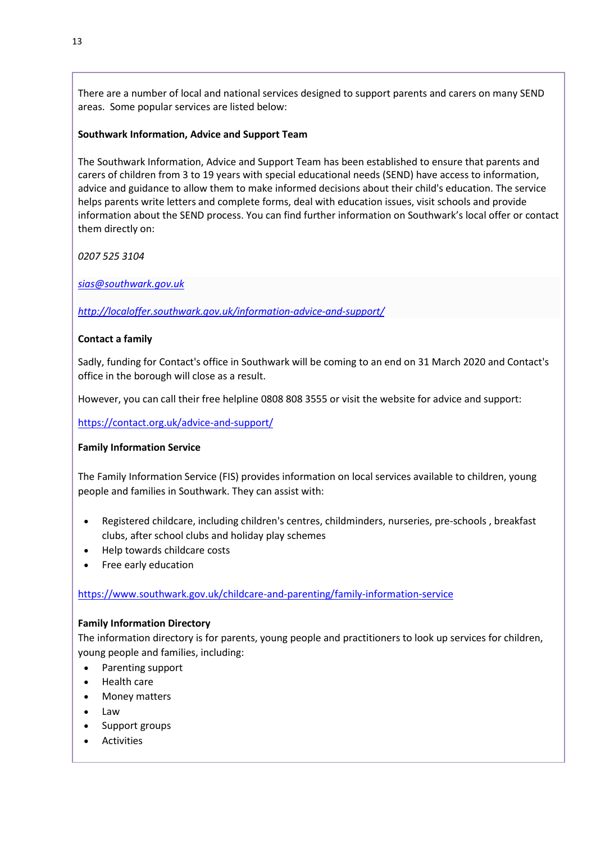There are a number of local and national services designed to support parents and carers on many SEND areas. Some popular services are listed below:

### **Southwark Information, Advice and Support Team**

The Southwark Information, Advice and Support Team has been established to ensure that parents and carers of children from 3 to 19 years with special educational needs (SEND) have access to information, advice and guidance to allow them to make informed decisions about their child's education. The service helps parents write letters and complete forms, deal with education issues, visit schools and provide information about the SEND process. You can find further information on Southwark's local offer or contact them directly on:

*0207 525 3104*

*[sias@southwark.gov.uk](mailto:sias@southwark.gov.uk)*

*<http://localoffer.southwark.gov.uk/information-advice-and-support/>*

#### **Contact a family**

Sadly, funding for Contact's office in Southwark will be coming to an end on 31 March 2020 and Contact's office in the borough will close as a result.

However, you can call their free helpline 0808 808 3555 or visit the website for advice and support:

<https://contact.org.uk/advice-and-support/>

#### **Family Information Service**

The Family Information Service (FIS) provides information on local services available to children, young people and families in Southwark. They can assist with:

- [Registered](http://www.southwark.gov.uk/info/200016/childcare) childcare, including [children's](http://www.southwark.gov.uk/info/200016/childcare/1529/childrens_centres) centres, [childminders,](http://www.southwark.gov.uk/info/200016/childcare/1510/childminders) [nurseries,](http://www.southwark.gov.uk/info/200016/childcare/1513/nurseries) [pre-schools](http://www.southwark.gov.uk/info/200016/childcare/708/pre_schools) , [breakfast](http://www.southwark.gov.uk/info/200016/childcare/707/breakfast_clubs) [clubs,](http://www.southwark.gov.uk/info/200016/childcare/707/breakfast_clubs) after [school](http://www.southwark.gov.uk/info/200016/childcare/701/after_school_clubs) clubs and holiday play [schemes](http://www.southwark.gov.uk/info/200016/childcare/2405/holiday_playschemes)
- Help towards [childcare](http://www.southwark.gov.uk/info/200016/childcare/1515/help_with_childcare_costs_and_benefits) costs
- Free early [education](http://www.southwark.gov.uk/info/200016/childcare/710/free_early_education_entitlement)

<https://www.southwark.gov.uk/childcare-and-parenting/family-information-service>

#### **Family Information Directory**

The [information](http://cypdirectory.southwark.gov.uk/) directory is for parents, young people and practitioners to look up services for children, young people and families, including:

- Parenting support
- Health care
- Money matters
- Law
- Support groups
- Activities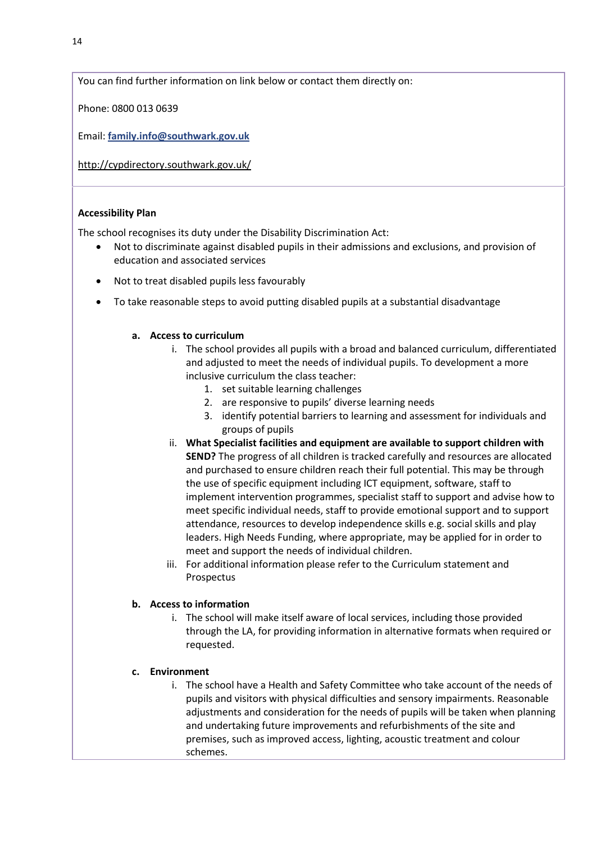You can find further information on link below or contact them directly on:

Phone: 0800 013 0639

Email: **[family.info@southwark.gov.uk](mailto:family.info@southwark.gov.uk)**

<http://cypdirectory.southwark.gov.uk/>

### **Accessibility Plan**

The school recognises its duty under the Disability Discrimination Act:

- Not to discriminate against disabled pupils in their admissions and exclusions, and provision of education and associated services
- Not to treat disabled pupils less favourably
- To take reasonable steps to avoid putting disabled pupils at a substantial disadvantage

#### **a. Access to curriculum**

- i. The school provides all pupils with a broad and balanced curriculum, differentiated and adjusted to meet the needs of individual pupils. To development a more inclusive curriculum the class teacher:
	- 1. set suitable learning challenges
	- 2. are responsive to pupils' diverse learning needs
	- 3. identify potential barriers to learning and assessment for individuals and groups of pupils
- ii. **What Specialist facilities and equipment are available to support children with SEND?** The progress of all children is tracked carefully and resources are allocated and purchased to ensure children reach their full potential. This may be through the use of specific equipment including ICT equipment, software, staff to implement intervention programmes, specialist staff to support and advise how to meet specific individual needs, staff to provide emotional support and to support attendance, resources to develop independence skills e.g. social skills and play leaders. High Needs Funding, where appropriate, may be applied for in order to meet and support the needs of individual children.
- iii. For additional information please refer to the Curriculum statement and Prospectus

# **b. Access to information**

i. The school will make itself aware of local services, including those provided through the LA, for providing information in alternative formats when required or requested.

#### **c. Environment**

i. The school have a Health and Safety Committee who take account of the needs of pupils and visitors with physical difficulties and sensory impairments. Reasonable adjustments and consideration for the needs of pupils will be taken when planning and undertaking future improvements and refurbishments of the site and premises, such as improved access, lighting, acoustic treatment and colour schemes.